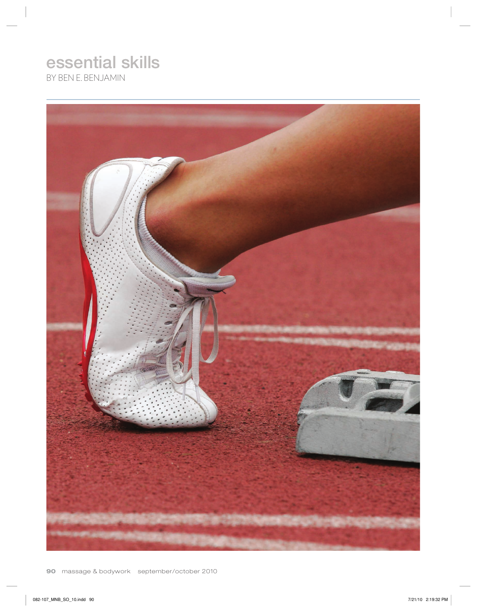# essential skills

BY BEN E. BENJAMIN

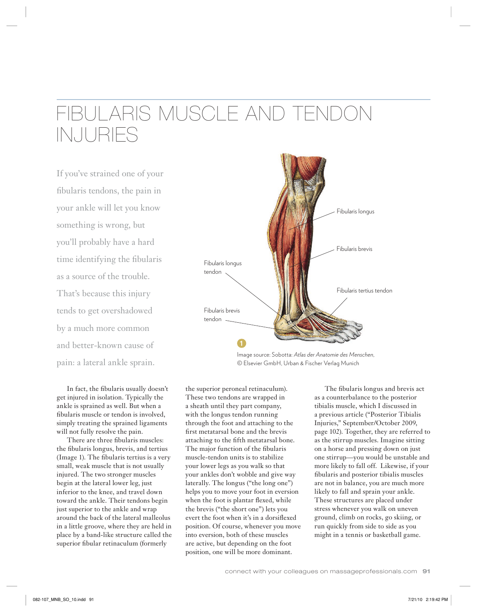## FIBULARIS MUSCLE AND TENDON INJURIES

If you've strained one of your fibularis tendons, the pain in your ankle will let you know something is wrong, but you'll probably have a hard time identifying the fibularis as a source of the trouble. That's because this injury tends to get overshadowed by a much more common and better-known cause of pain: a lateral ankle sprain.

In fact, the fibularis usually doesn't get injured in isolation. Typically the ankle is sprained as well. But when a fibularis muscle or tendon is involved, simply treating the sprained ligaments will not fully resolve the pain.

There are three fibularis muscles: the fibularis longus, brevis, and tertius (Image 1). The fibularis tertius is a very small, weak muscle that is not usually injured. The two stronger muscles begin at the lateral lower leg, just inferior to the knee, and travel down toward the ankle. Their tendons begin just superior to the ankle and wrap around the back of the lateral malleolus in a little groove, where they are held in place by a band-like structure called the superior fibular retinaculum (formerly



Image source: Sobotta: *Atlas der Anatomie des Menschen*, © Elsevier GmbH, Urban & Fischer Verlag Munich

the superior peroneal retinaculum). These two tendons are wrapped in a sheath until they part company, with the longus tendon running through the foot and attaching to the first metatarsal bone and the brevis attaching to the fifth metatarsal bone. The major function of the fibularis muscle-tendon units is to stabilize your lower legs as you walk so that your ankles don't wobble and give way laterally. The longus ("the long one") helps you to move your foot in eversion when the foot is plantar flexed, while the brevis ("the short one") lets you evert the foot when it's in a dorsiflexed position. Of course, whenever you move into eversion, both of these muscles are active, but depending on the foot position, one will be more dominant.

The fibularis longus and brevis act as a counterbalance to the posterior tibialis muscle, which I discussed in a previous article ("Posterior Tibialis Injuries," September/October 2009, page 102). Together, they are referred to as the stirrup muscles. Imagine sitting on a horse and pressing down on just one stirrup—you would be unstable and more likely to fall off. Likewise, if your fibularis and posterior tibialis muscles are not in balance, you are much more likely to fall and sprain your ankle. These structures are placed under stress whenever you walk on uneven ground, climb on rocks, go skiing, or run quickly from side to side as you might in a tennis or basketball game.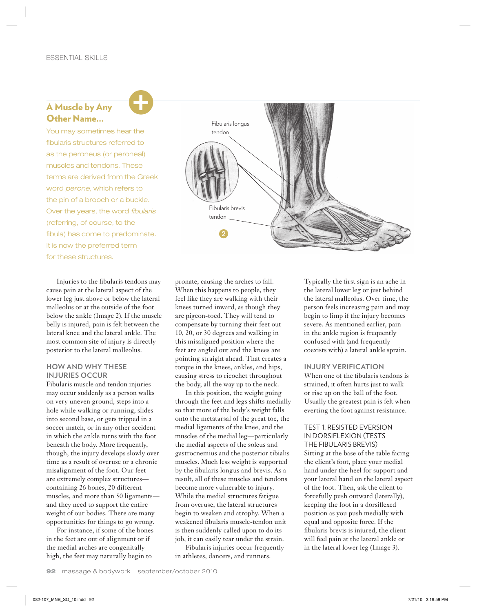### A Muscle by Any Other Name…

You may sometimes hear the fibularis structures referred to as the peroneus (or peroneal) muscles and tendons. These terms are derived from the Greek word *perone*, which refers to the pin of a brooch or a buckle. Over the years, the word *fibularis* (referring, of course, to the fibula) has come to predominate. It is now the preferred term for these structures.

Injuries to the fibularis tendons may cause pain at the lateral aspect of the lower leg just above or below the lateral malleolus or at the outside of the foot below the ankle (Image 2). If the muscle belly is injured, pain is felt between the lateral knee and the lateral ankle. The most common site of injury is directly posterior to the lateral malleolus.

#### **HOW AND WHY THESE INJURIES OCCUR**

Fibularis muscle and tendon injuries may occur suddenly as a person walks on very uneven ground, steps into a hole while walking or running, slides into second base, or gets tripped in a soccer match, or in any other accident in which the ankle turns with the foot beneath the body. More frequently, though, the injury develops slowly over time as a result of overuse or a chronic misalignment of the foot. Our feet are extremely complex structures containing 26 bones, 20 different muscles, and more than 50 ligaments and they need to support the entire weight of our bodies. There are many opportunities for things to go wrong.

For instance, if some of the bones in the feet are out of alignment or if the medial arches are congenitally high, the feet may naturally begin to



pronate, causing the arches to fall. When this happens to people, they feel like they are walking with their knees turned inward, as though they are pigeon-toed. They will tend to compensate by turning their feet out 10, 20, or 30 degrees and walking in this misaligned position where the feet are angled out and the knees are pointing straight ahead. That creates a torque in the knees, ankles, and hips, causing stress to ricochet throughout the body, all the way up to the neck.

In this position, the weight going through the feet and legs shifts medially so that more of the body's weight falls onto the metatarsal of the great toe, the medial ligaments of the knee, and the muscles of the medial leg—particularly the medial aspects of the soleus and gastrocnemius and the posterior tibialis muscles. Much less weight is supported by the fibularis longus and brevis. As a result, all of these muscles and tendons become more vulnerable to injury. While the medial structures fatigue from overuse, the lateral structures begin to weaken and atrophy. When a weakened fibularis muscle-tendon unit is then suddenly called upon to do its job, it can easily tear under the strain.

Fibularis injuries occur frequently in athletes, dancers, and runners.

Typically the first sign is an ache in the lateral lower leg or just behind the lateral malleolus. Over time, the person feels increasing pain and may begin to limp if the injury becomes severe. As mentioned earlier, pain in the ankle region is frequently confused with (and frequently coexists with) a lateral ankle sprain.

#### **INJURY VERIFICATION**

When one of the fibularis tendons is strained, it often hurts just to walk or rise up on the ball of the foot. Usually the greatest pain is felt when everting the foot against resistance.

TEST 1. RESISTED EVERSION IN DORSIFLEXION (TESTS THE FIBULARIS BREVIS) Sitting at the base of the table facing the client's foot, place your medial hand under the heel for support and your lateral hand on the lateral aspect of the foot. Then, ask the client to forcefully push outward (laterally), keeping the foot in a dorsiflexed position as you push medially with equal and opposite force. If the fibularis brevis is injured, the client will feel pain at the lateral ankle or in the lateral lower leg (Image 3).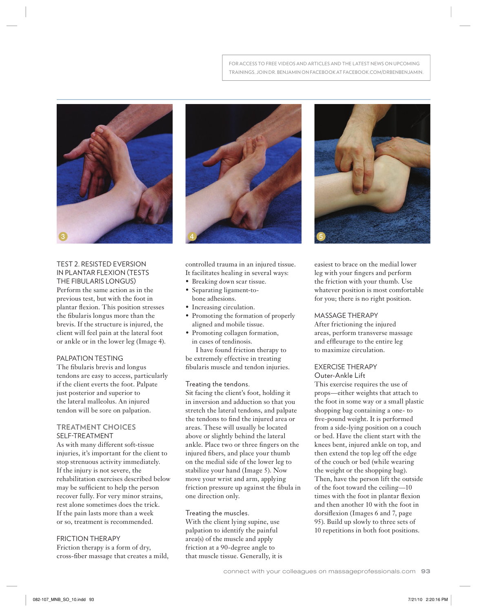

TEST 2. RESISTED EVERSION IN PLANTAR FLEXION (TESTS THE FIBULARIS LONGUS) Perform the same action as in the previous test, but with the foot in plantar flexion. This position stresses the fibularis longus more than the brevis. If the structure is injured, the client will feel pain at the lateral foot or ankle or in the lower leg (Image 4).

#### PALPATION TESTING

The fibularis brevis and longus tendons are easy to access, particularly if the client everts the foot. Palpate just posterior and superior to the lateral malleolus. An injured tendon will be sore on palpation.

#### **TREATMENT CHOICES** SELF-TREATMENT

As with many different soft-tissue injuries, it's important for the client to stop strenuous activity immediately. If the injury is not severe, the rehabilitation exercises described below may be sufficient to help the person recover fully. For very minor strains, rest alone sometimes does the trick. If the pain lasts more than a week or so, treatment is recommended.

#### FRICTION THERAPY

Friction therapy is a form of dry, cross-fiber massage that creates a mild,



controlled trauma in an injured tissue. It facilitates healing in several ways:

- Breaking down scar tissue.
- Separating ligament-tobone adhesions.
- Increasing circulation.
- Promoting the formation of properly aligned and mobile tissue.
- Promoting collagen formation, in cases of tendinosis.

I have found friction therapy to be extremely effective in treating fibularis muscle and tendon injuries.

#### Treating the tendons.

Sit facing the client's foot, holding it in inversion and adduction so that you stretch the lateral tendons, and palpate the tendons to find the injured area or areas. These will usually be located above or slightly behind the lateral ankle. Place two or three fingers on the injured fibers, and place your thumb on the medial side of the lower leg to stabilize your hand (Image 5). Now move your wrist and arm, applying friction pressure up against the fibula in one direction only.

Treating the muscles.

With the client lying supine, use palpation to identify the painful area(s) of the muscle and apply friction at a 90-degree angle to that muscle tissue. Generally, it is



easiest to brace on the medial lower leg with your fingers and perform the friction with your thumb. Use whatever position is most comfortable for you; there is no right position.

#### MASSAGE THERAPY

After frictioning the injured areas, perform transverse massage and effleurage to the entire leg to maximize circulation.

## EXERCISE THERAPY

Outer-Ankle Lift This exercise requires the use of props—either weights that attach to the foot in some way or a small plastic shopping bag containing a one- to five-pound weight. It is performed from a side-lying position on a couch or bed. Have the client start with the knees bent, injured ankle on top, and then extend the top leg off the edge of the couch or bed (while wearing the weight or the shopping bag). Then, have the person lift the outside of the foot toward the ceiling—10 times with the foot in plantar flexion and then another 10 with the foot in dorsiflexion (Images 6 and 7, page

95). Build up slowly to three sets of 10 repetitions in both foot positions.